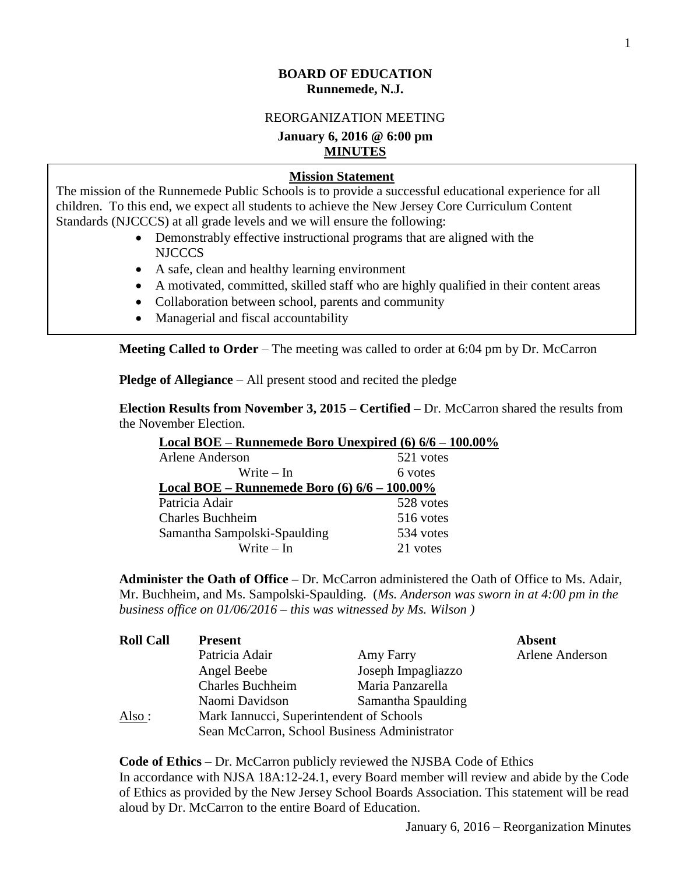# **BOARD OF EDUCATION Runnemede, N.J.**

### REORGANIZATION MEETING

### **January 6, 2016 @ 6:00 pm MINUTES**

### **Mission Statement**

The mission of the Runnemede Public Schools is to provide a successful educational experience for all children. To this end, we expect all students to achieve the New Jersey Core Curriculum Content Standards (NJCCCS) at all grade levels and we will ensure the following:

- Demonstrably effective instructional programs that are aligned with the NJCCCS
- A safe, clean and healthy learning environment
- A motivated, committed, skilled staff who are highly qualified in their content areas
- Collaboration between school, parents and community
- Managerial and fiscal accountability

**Meeting Called to Order** – The meeting was called to order at 6:04 pm by Dr. McCarron

**Pledge of Allegiance** – All present stood and recited the pledge

**Election Results from November 3, 2015 – Certified –** Dr. McCarron shared the results from the November Election.

| Local BOE – Runnemede Boro Unexpired (6) 6/6 – 100.00% |           |  |  |  |  |
|--------------------------------------------------------|-----------|--|--|--|--|
| Arlene Anderson                                        | 521 votes |  |  |  |  |
| Write – In                                             | 6 votes   |  |  |  |  |
| Local BOE – Runnemede Boro $(6) 6/6 - 100.00\%$        |           |  |  |  |  |
| Patricia Adair                                         | 528 votes |  |  |  |  |
| <b>Charles Buchheim</b>                                | 516 votes |  |  |  |  |
| Samantha Sampolski-Spaulding                           | 534 votes |  |  |  |  |
| $Write - In$                                           | 21 votes  |  |  |  |  |

**Administer the Oath of Office –** Dr. McCarron administered the Oath of Office to Ms. Adair, Mr. Buchheim, and Ms. Sampolski-Spaulding. (*Ms. Anderson was sworn in at 4:00 pm in the business office on 01/06/2016 – this was witnessed by Ms. Wilson )*

| <b>Roll Call</b> | <b>Present</b>                               | <b>Absent</b>      |                 |  |
|------------------|----------------------------------------------|--------------------|-----------------|--|
|                  | Patricia Adair                               | Amy Farry          | Arlene Anderson |  |
|                  | Angel Beebe                                  | Joseph Impagliazzo |                 |  |
|                  | <b>Charles Buchheim</b>                      | Maria Panzarella   |                 |  |
|                  | Naomi Davidson                               | Samantha Spaulding |                 |  |
| Also:            | Mark Iannucci, Superintendent of Schools     |                    |                 |  |
|                  | Sean McCarron, School Business Administrator |                    |                 |  |

**Code of Ethics** – Dr. McCarron publicly reviewed the NJSBA Code of Ethics In accordance with NJSA 18A:12-24.1, every Board member will review and abide by the Code of Ethics as provided by the New Jersey School Boards Association. This statement will be read aloud by Dr. McCarron to the entire Board of Education.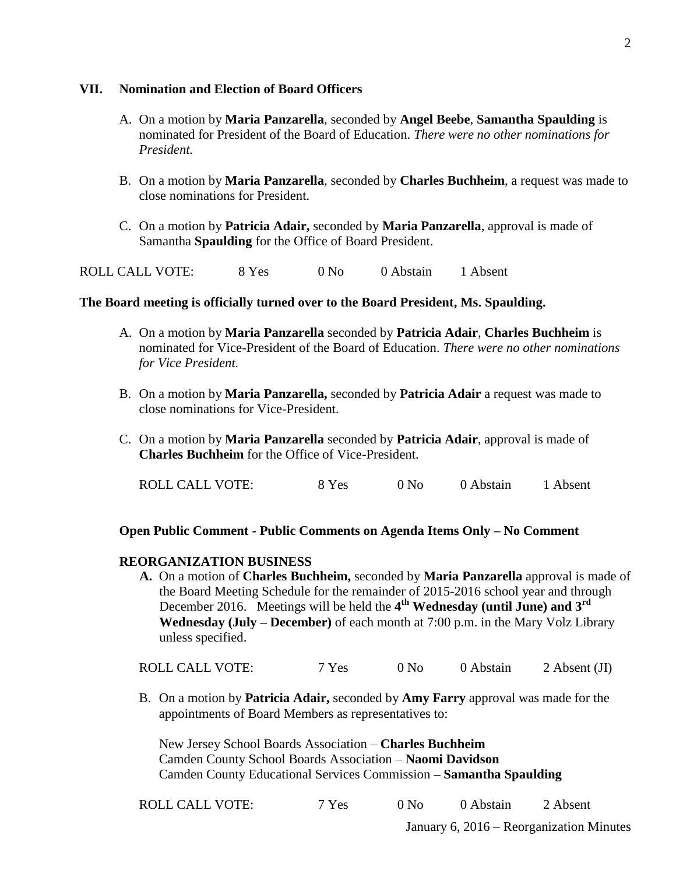### **VII. Nomination and Election of Board Officers**

- A. On a motion by **Maria Panzarella**, seconded by **Angel Beebe**, **Samantha Spaulding** is nominated for President of the Board of Education. *There were no other nominations for President.*
- B. On a motion by **Maria Panzarella**, seconded by **Charles Buchheim**, a request was made to close nominations for President.
- C. On a motion by **Patricia Adair,** seconded by **Maria Panzarella**, approval is made of Samantha **Spaulding** for the Office of Board President.

ROLL CALL VOTE: 8 Yes 0 No 0 Abstain 1 Absent

### **The Board meeting is officially turned over to the Board President, Ms. Spaulding.**

- A. On a motion by **Maria Panzarella** seconded by **Patricia Adair**, **Charles Buchheim** is nominated for Vice-President of the Board of Education. *There were no other nominations for Vice President.*
- B. On a motion by **Maria Panzarella,** seconded by **Patricia Adair** a request was made to close nominations for Vice-President.
- C. On a motion by **Maria Panzarella** seconded by **Patricia Adair**, approval is made of **Charles Buchheim** for the Office of Vice-President.

ROLL CALL VOTE: 8 Yes 0 No 0 Abstain 1 Absent

### **Open Public Comment - Public Comments on Agenda Items Only – No Comment**

### **REORGANIZATION BUSINESS**

**A.** On a motion of **Charles Buchheim,** seconded by **Maria Panzarella** approval is made of the Board Meeting Schedule for the remainder of 2015-2016 school year and through December 2016. Meetings will be held the **4 th Wednesday (until June) and 3rd Wednesday (July – December)** of each month at 7:00 p.m. in the Mary Volz Library unless specified.

ROLL CALL VOTE:  $7 \text{ Yes}$  0 No 0 Abstain 2 Absent (JI)

B. On a motion by **Patricia Adair,** seconded by **Amy Farry** approval was made for the appointments of Board Members as representatives to:

New Jersey School Boards Association – **Charles Buchheim** Camden County School Boards Association – **Naomi Davidson** Camden County Educational Services Commission **– Samantha Spaulding**

| ROLL CALL VOTE: | 7 Yes | 0 N <sub>0</sub> | 0 Abstain | 2 Absent |  |
|-----------------|-------|------------------|-----------|----------|--|
|                 |       |                  |           |          |  |

January 6, 2016 – Reorganization Minutes